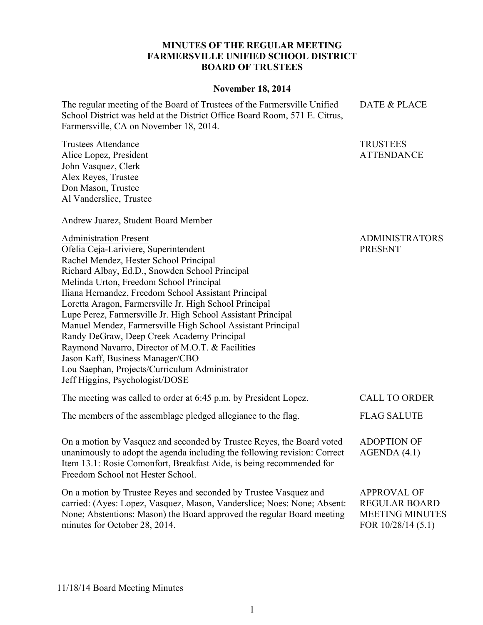## **MINUTES OF THE REGULAR MEETING FARMERSVILLE UNIFIED SCHOOL DISTRICT BOARD OF TRUSTEES**

## **November 18, 2014**

The regular meeting of the Board of Trustees of the Farmersville Unified School District was held at the District Office Board Room, 571 E. Citrus, Farmersville, CA on November 18, 2014.

Trustees Attendance Alice Lopez, President John Vasquez, Clerk Alex Reyes, Trustee Don Mason, Trustee Al Vanderslice, Trustee

Andrew Juarez, Student Board Member

Administration Present Ofelia Ceja-Lariviere, Superintendent Rachel Mendez, Hester School Principal Richard Albay, Ed.D., Snowden School Principal Melinda Urton, Freedom School Principal Iliana Hernandez, Freedom School Assistant Principal Loretta Aragon, Farmersville Jr. High School Principal Lupe Perez, Farmersville Jr. High School Assistant Principal Manuel Mendez, Farmersville High School Assistant Principal Randy DeGraw, Deep Creek Academy Principal Raymond Navarro, Director of M.O.T. & Facilities Jason Kaff, Business Manager/CBO Lou Saephan, Projects/Curriculum Administrator Jeff Higgins, Psychologist/DOSE PRESENT The meeting was called to order at 6:45 p.m. by President Lopez. CALL TO ORDER The members of the assemblage pledged allegiance to the flag. FLAG SALUTE

On a motion by Vasquez and seconded by Trustee Reyes, the Board voted unanimously to adopt the agenda including the following revision: Correct Item 13.1: Rosie Comonfort, Breakfast Aide, is being recommended for Freedom School not Hester School. ADOPTION OF AGENDA (4.1)

On a motion by Trustee Reyes and seconded by Trustee Vasquez and carried: (Ayes: Lopez, Vasquez, Mason, Vanderslice; Noes: None; Absent: None; Abstentions: Mason) the Board approved the regular Board meeting minutes for October 28, 2014. APPROVAL OF REGULAR BOARD MEETING MINUTES FOR 10/28/14 (5.1)

ADMINISTRATORS

DATE & PLACE

TRUSTEES ATTENDANCE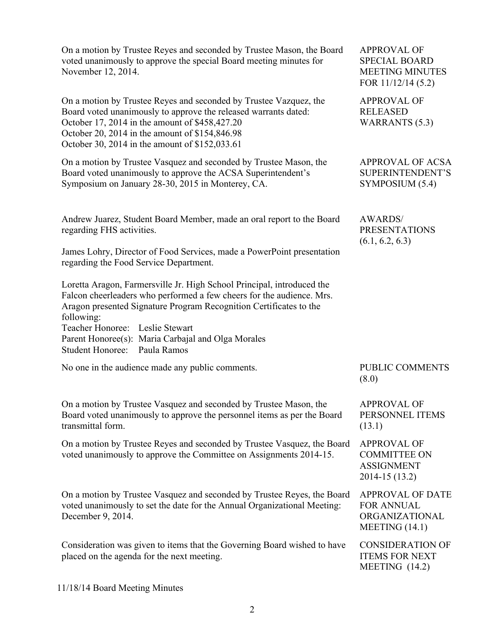On a motion by Trustee Reyes and seconded by Trustee Mason, the Board voted unanimously to approve the special Board meeting minutes for November 12, 2014.

On a motion by Trustee Reyes and seconded by Trustee Vazquez, the Board voted unanimously to approve the released warrants dated: October 17, 2014 in the amount of \$458,427.20 October 20, 2014 in the amount of \$154,846.98 October 30, 2014 in the amount of \$152,033.61

On a motion by Trustee Vasquez and seconded by Trustee Mason, the Board voted unanimously to approve the ACSA Superintendent's Symposium on January 28-30, 2015 in Monterey, CA.

Andrew Juarez, Student Board Member, made an oral report to the Board regarding FHS activities.

James Lohry, Director of Food Services, made a PowerPoint presentation regarding the Food Service Department.

Loretta Aragon, Farmersville Jr. High School Principal, introduced the Falcon cheerleaders who performed a few cheers for the audience. Mrs. Aragon presented Signature Program Recognition Certificates to the following: Teacher Honoree: Leslie Stewart Parent Honoree(s): Maria Carbajal and Olga Morales

Student Honoree: Paula Ramos

No one in the audience made any public comments. PUBLIC COMMENTS

On a motion by Trustee Vasquez and seconded by Trustee Mason, the Board voted unanimously to approve the personnel items as per the Board transmittal form.

On a motion by Trustee Reyes and seconded by Trustee Vasquez, the Board voted unanimously to approve the Committee on Assignments 2014-15.

On a motion by Trustee Vasquez and seconded by Trustee Reyes, the Board voted unanimously to set the date for the Annual Organizational Meeting: December 9, 2014.

Consideration was given to items that the Governing Board wished to have placed on the agenda for the next meeting.

11/18/14 Board Meeting Minutes

APPROVAL OF RELEASED WARRANTS (5.3)

APPROVAL OF ACSA SUPERINTENDENT'S SYMPOSIUM (5.4)

AWARDS/ PRESENTATIONS (6.1, 6.2, 6.3)

(8.0)

APPROVAL OF PERSONNEL ITEMS (13.1)

APPROVAL OF COMMITTEE ON ASSIGNMENT 2014-15 (13.2)

APPROVAL OF DATE FOR ANNUAL ORGANIZATIONAL MEETING (14.1)

CONSIDERATION OF ITEMS FOR NEXT MEETING (14.2)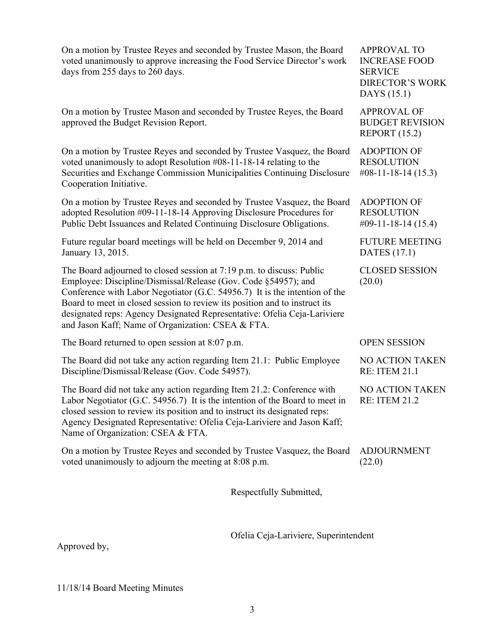On a motion by Trustee Reyes and seconded by Trustee Mason, the Board voted unanimously to approve increasing the Food Service Director's work days from 255 days to 260 days.

On a motion by Trustee Mason and seconded by Trustee Reyes, the Board

approved the Budget Revision Report.

APPROVAL TO INCREASE FOOD SERVICE DIRECTOR'S WORK DAYS (15.1)

APPROVAL OF BUDGET REVISION REPORT (15.2)

FUTURE MEETING

CLOSED SESSION

NO ACTION TAKEN

NO ACTION TAKEN

RE: ITEM 21.1

RE: ITEM 21.2

DATES (17.1)

(20.0)

On a motion by Trustee Reyes and seconded by Trustee Vasquez, the Board voted unanimously to adopt Resolution #08-11-18-14 relating to the Securities and Exchange Commission Municipalities Continuing Disclosure Cooperation Initiative. ADOPTION OF RESOLUTION #08-11-18-14 (15.3)

On a motion by Trustee Reyes and seconded by Trustee Vasquez, the Board adopted Resolution #09-11-18-14 Approving Disclosure Procedures for Public Debt Issuances and Related Continuing Disclosure Obligations. ADOPTION OF RESOLUTION #09-11-18-14 (15.4)

Future regular board meetings will be held on December 9, 2014 and January 13, 2015.

The Board adjourned to closed session at 7:19 p.m. to discuss: Public Employee: Discipline/Dismissal/Release (Gov. Code §54957); and Conference with Labor Negotiator (G.C. 54956.7) It is the intention of the Board to meet in closed session to review its position and to instruct its designated reps: Agency Designated Representative: Ofelia Ceja-Lariviere and Jason Kaff; Name of Organization: CSEA & FTA.

The Board returned to open session at 8:07 p.m. OPEN SESSION

The Board did not take any action regarding Item 21.1: Public Employee Discipline/Dismissal/Release (Gov. Code 54957).

The Board did not take any action regarding Item 21.2: Conference with Labor Negotiator (G.C. 54956.7) It is the intention of the Board to meet in closed session to review its position and to instruct its designated reps: Agency Designated Representative: Ofelia Ceja-Lariviere and Jason Kaff; Name of Organization: CSEA & FTA.

On a motion by Trustee Reyes and seconded by Trustee Vasquez, the Board voted unanimously to adjourn the meeting at 8:08 p.m. ADJOURNMENT (22.0)

Respectfully Submitted,

Ofelia Ceja-Lariviere, Superintendent

Approved by,